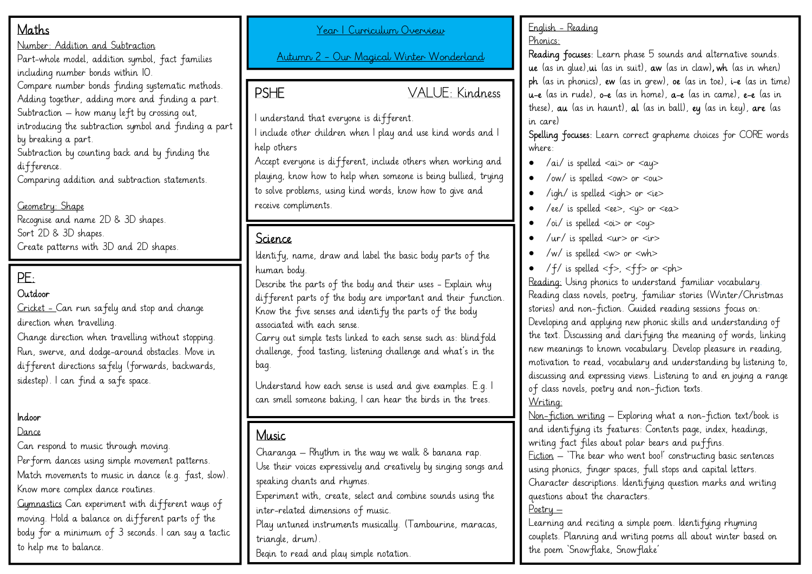## Maths

Number: Addition and Subtraction

Part-whole model, addition symbol, fact families including number bonds within 10.

Compare number bonds finding systematic methods.

Adding together, adding more and finding a part. Subtraction – how many left by crossing out,

introducing the subtraction symbol and finding a part

by breaking a part.

Subtraction by counting back and by finding the difference.

Comparing addition and subtraction statements.

Geometry: Shape Recognise and name 2D & 3D shapes. Sort 2D & 3D shapes. Create patterns with 3D and 2D shapes.

# PE:

### Outdoor

Cricket - Can run safely and stop and change direction when travelling.

Change direction when travelling without stopping. Run, swerve, and dodge-around obstacles. Move in different directions safely (forwards, backwards, sidestep). I can find a safe space.

### Indoor

#### Dance

Can respond to music through moving. Perform dances using simple movement patterns. Match movements to music in dance (e.g. fast, slow). Know more complex dance routines.

Gymnastics Can experiment with different ways of moving. Hold a balance on different parts of the body for a minimum of 3 seconds. I can say a tactic to help me to balance.

Year 1 Curriculum Overview

Autumn 2 – Our Magical Winter Wonderland

PSHE VALUE: Kindness

I understand that everyone is different.

I include other children when I play and use kind words and I help others

Accept everyone is different, include others when working and playing, know how to help when someone is being bullied, trying to solve problems, using kind words, know how to give and receive compliments.

## Science

Identify, name, draw and label the basic body parts of the human body.

Describe the parts of the body and their uses - Explain why different parts of the body are important and their function. Know the five senses and identify the parts of the body associated with each sense.

Carry out simple tests linked to each sense such as: blindfold challenge, food tasting, listening challenge and what's in the bag.

Understand how each sense is used and give examples. E.g. I can smell someone baking, I can hear the birds in the trees.

## **Music**

Charanga – Rhythm in the way we walk & banana rap. Use their voices expressively and creatively by singing songs and speaking chants and rhymes.

Experiment with, create, select and combine sounds using the inter-related dimensions of music.

Play untuned instruments musically. (Tambourine, maracas, triangle, drum).

Begin to read and play simple notation.

#### English - Reading Phonics:

Reading focuses: Learn phase 5 sounds and alternative sounds. ue (as in glue),ui (as in suit), aw (as in claw), wh (as in when) ph (as in phonics), ew (as in grew), oe (as in toe), i-e (as in time) u-e (as in rude), o-e (as in home), a-e (as in came), e-e (as in these), au (as in haunt), al (as in ball), ey (as in key), are (as in care)

Spelling focuses: Learn correct grapheme choices for CORE words where:

- /ai/ is spelled  $\langle a \rangle$  or  $\langle a \rangle$
- /ow/ is spelled <ow> or <ou>
- /igh/ is spelled <igh> or <ie>
- /ee/ is spelled <ee>, < $y$ > or <ea>
- /oi/ is spelled  $\langle$ oi> or  $\langle$ ou>
- /ur/ is spelled  $\langle ur \rangle$  or  $\langle ir \rangle$
- /w/ is spelled <w> or <wh>
- /f/ is spelled  $<$ f>,  $<$ ff> or  $<$ ph>

Reading: Using phonics to understand familiar vocabulary. Reading class novels, poetry, familiar stories (Winter/Christmas stories) and non-fiction. Guided reading sessions focus on: Developing and applying new phonic skills and understanding of the text. Discussing and clarifying the meaning of words, linking new meanings to known vocabulary. Develop pleasure in reading, motivation to read, vocabulary and understanding by listening to, discussing and expressing views. Listening to and en joying a range of class novels, poetry and non-fiction texts. Writing:

Non-fiction writing – Exploring what a non-fiction text/book is and identifying its features: Contents page, index, headings, writing fact files about polar bears and puffins.

Fiction – 'The bear who went boo!' constructing basic sentences using phonics, finger spaces, full stops and capital letters. Character descriptions. Identifying question marks and writing questions about the characters.

### Poetry –

Learning and reciting a simple poem. Identifying rhyming couplets. Planning and writing poems all about winter based on the poem 'Snowflake, Snowflake'